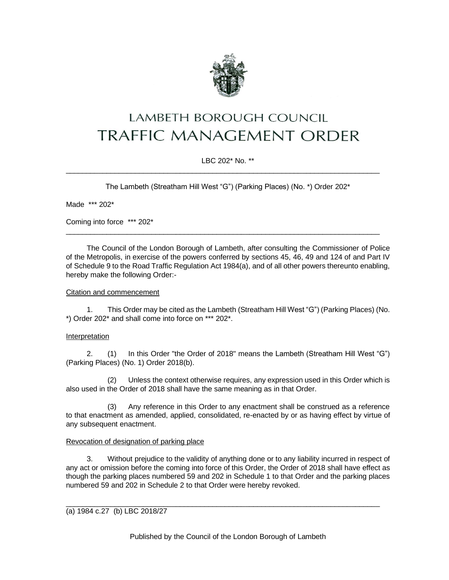

# LAMBETH BOROUGH COUNCIL **TRAFFIC MANAGEMENT ORDER**

# LBC 202\* No. \*\*

\_\_\_\_\_\_\_\_\_\_\_\_\_\_\_\_\_\_\_\_\_\_\_\_\_\_\_\_\_\_\_\_\_\_\_\_\_\_\_\_\_\_\_\_\_\_\_\_\_\_\_\_\_\_\_\_\_\_\_\_\_\_\_\_\_\_\_\_\_\_\_\_\_\_\_\_\_

The Lambeth (Streatham Hill West "G") (Parking Places) (No. \*) Order 202\*

Made \*\*\* 202\*

Coming into force \*\*\* 202\*

The Council of the London Borough of Lambeth, after consulting the Commissioner of Police of the Metropolis, in exercise of the powers conferred by sections 45, 46, 49 and 124 of and Part IV of Schedule 9 to the Road Traffic Regulation Act 1984(a), and of all other powers thereunto enabling, hereby make the following Order:-

\_\_\_\_\_\_\_\_\_\_\_\_\_\_\_\_\_\_\_\_\_\_\_\_\_\_\_\_\_\_\_\_\_\_\_\_\_\_\_\_\_\_\_\_\_\_\_\_\_\_\_\_\_\_\_\_\_\_\_\_\_\_\_\_\_\_\_\_\_\_\_\_\_\_\_\_\_

#### Citation and commencement

1. This Order may be cited as the Lambeth (Streatham Hill West "G") (Parking Places) (No. \*) Order 202\* and shall come into force on \*\*\* 202\*.

## **Interpretation**

2. (1) In this Order "the Order of 2018" means the Lambeth (Streatham Hill West "G") (Parking Places) (No. 1) Order 2018(b).

(2) Unless the context otherwise requires, any expression used in this Order which is also used in the Order of 2018 shall have the same meaning as in that Order.

(3) Any reference in this Order to any enactment shall be construed as a reference to that enactment as amended, applied, consolidated, re-enacted by or as having effect by virtue of any subsequent enactment.

#### Revocation of designation of parking place

3. Without prejudice to the validity of anything done or to any liability incurred in respect of any act or omission before the coming into force of this Order, the Order of 2018 shall have effect as though the parking places numbered 59 and 202 in Schedule 1 to that Order and the parking places numbered 59 and 202 in Schedule 2 to that Order were hereby revoked.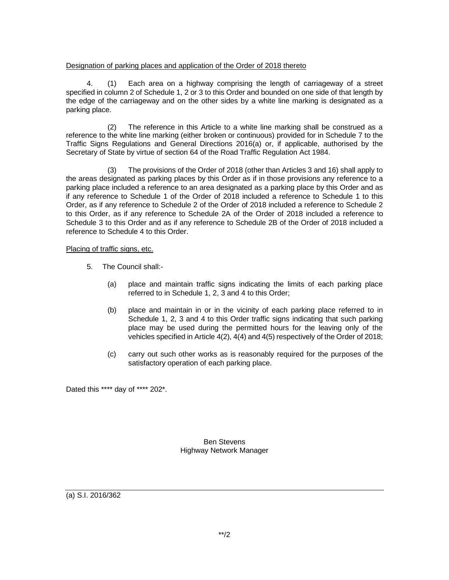## Designation of parking places and application of the Order of 2018 thereto

4. (1) Each area on a highway comprising the length of carriageway of a street specified in column 2 of Schedule 1, 2 or 3 to this Order and bounded on one side of that length by the edge of the carriageway and on the other sides by a white line marking is designated as a parking place.

(2) The reference in this Article to a white line marking shall be construed as a reference to the white line marking (either broken or continuous) provided for in Schedule 7 to the Traffic Signs Regulations and General Directions 2016(a) or, if applicable, authorised by the Secretary of State by virtue of section 64 of the Road Traffic Regulation Act 1984.

(3) The provisions of the Order of 2018 (other than Articles 3 and 16) shall apply to the areas designated as parking places by this Order as if in those provisions any reference to a parking place included a reference to an area designated as a parking place by this Order and as if any reference to Schedule 1 of the Order of 2018 included a reference to Schedule 1 to this Order, as if any reference to Schedule 2 of the Order of 2018 included a reference to Schedule 2 to this Order, as if any reference to Schedule 2A of the Order of 2018 included a reference to Schedule 3 to this Order and as if any reference to Schedule 2B of the Order of 2018 included a reference to Schedule 4 to this Order.

## Placing of traffic signs, etc.

- 5. The Council shall:-
	- (a) place and maintain traffic signs indicating the limits of each parking place referred to in Schedule 1, 2, 3 and 4 to this Order;
	- (b) place and maintain in or in the vicinity of each parking place referred to in Schedule 1, 2, 3 and 4 to this Order traffic signs indicating that such parking place may be used during the permitted hours for the leaving only of the vehicles specified in Article 4(2), 4(4) and 4(5) respectively of the Order of 2018;
	- (c) carry out such other works as is reasonably required for the purposes of the satisfactory operation of each parking place.

Dated this \*\*\*\* day of \*\*\*\* 202\*.

Ben Stevens Highway Network Manager

(a) S.I. 2016/362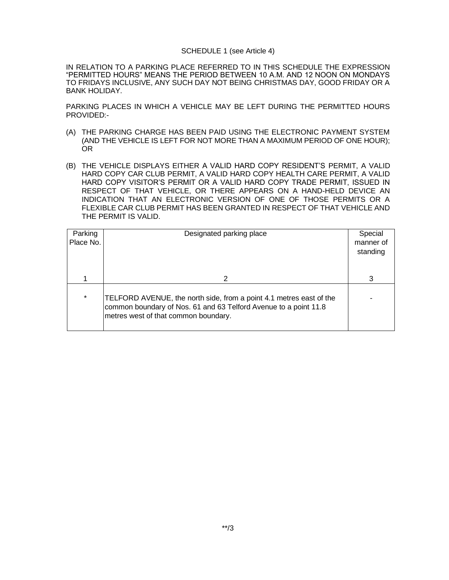#### SCHEDULE 1 (see Article 4)

IN RELATION TO A PARKING PLACE REFERRED TO IN THIS SCHEDULE THE EXPRESSION "PERMITTED HOURS" MEANS THE PERIOD BETWEEN 10 A.M. AND 12 NOON ON MONDAYS TO FRIDAYS INCLUSIVE, ANY SUCH DAY NOT BEING CHRISTMAS DAY, GOOD FRIDAY OR A BANK HOLIDAY.

PARKING PLACES IN WHICH A VEHICLE MAY BE LEFT DURING THE PERMITTED HOURS PROVIDED:-

- (A) THE PARKING CHARGE HAS BEEN PAID USING THE ELECTRONIC PAYMENT SYSTEM (AND THE VEHICLE IS LEFT FOR NOT MORE THAN A MAXIMUM PERIOD OF ONE HOUR); OR
- (B) THE VEHICLE DISPLAYS EITHER A VALID HARD COPY RESIDENT'S PERMIT, A VALID HARD COPY CAR CLUB PERMIT, A VALID HARD COPY HEALTH CARE PERMIT, A VALID HARD COPY VISITOR'S PERMIT OR A VALID HARD COPY TRADE PERMIT, ISSUED IN RESPECT OF THAT VEHICLE, OR THERE APPEARS ON A HAND-HELD DEVICE AN INDICATION THAT AN ELECTRONIC VERSION OF ONE OF THOSE PERMITS OR A FLEXIBLE CAR CLUB PERMIT HAS BEEN GRANTED IN RESPECT OF THAT VEHICLE AND THE PERMIT IS VALID.

| Parking<br>Place No. | Designated parking place                                                                                                                                                        | Special<br>manner of<br>standing |
|----------------------|---------------------------------------------------------------------------------------------------------------------------------------------------------------------------------|----------------------------------|
|                      | 2                                                                                                                                                                               |                                  |
| $\star$              | TELFORD AVENUE, the north side, from a point 4.1 metres east of the<br>common boundary of Nos. 61 and 63 Telford Avenue to a point 11.8<br>metres west of that common boundary. |                                  |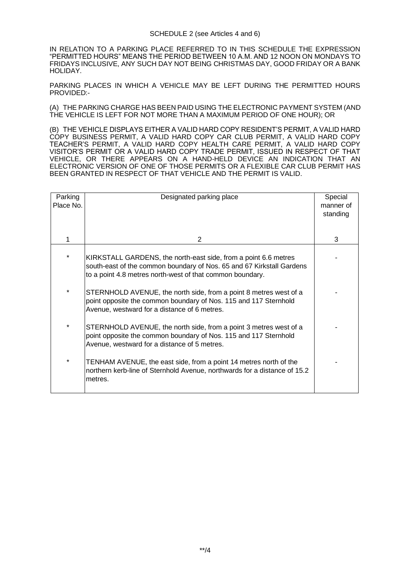IN RELATION TO A PARKING PLACE REFERRED TO IN THIS SCHEDULE THE EXPRESSION "PERMITTED HOURS" MEANS THE PERIOD BETWEEN 10 A.M. AND 12 NOON ON MONDAYS TO FRIDAYS INCLUSIVE, ANY SUCH DAY NOT BEING CHRISTMAS DAY, GOOD FRIDAY OR A BANK HOLIDAY.

PARKING PLACES IN WHICH A VEHICLE MAY BE LEFT DURING THE PERMITTED HOURS PROVIDED:-

(A) THE PARKING CHARGE HAS BEEN PAID USING THE ELECTRONIC PAYMENT SYSTEM (AND THE VEHICLE IS LEFT FOR NOT MORE THAN A MAXIMUM PERIOD OF ONE HOUR); OR

(B) THE VEHICLE DISPLAYS EITHER A VALID HARD COPY RESIDENT'S PERMIT, A VALID HARD COPY BUSINESS PERMIT, A VALID HARD COPY CAR CLUB PERMIT, A VALID HARD COPY TEACHER'S PERMIT, A VALID HARD COPY HEALTH CARE PERMIT, A VALID HARD COPY VISITOR'S PERMIT OR A VALID HARD COPY TRADE PERMIT, ISSUED IN RESPECT OF THAT VEHICLE, OR THERE APPEARS ON A HAND-HELD DEVICE AN INDICATION THAT AN ELECTRONIC VERSION OF ONE OF THOSE PERMITS OR A FLEXIBLE CAR CLUB PERMIT HAS BEEN GRANTED IN RESPECT OF THAT VEHICLE AND THE PERMIT IS VALID.

| Parking<br>Place No. | Designated parking place                                                                                                                                                                              | Special<br>manner of<br>standing |
|----------------------|-------------------------------------------------------------------------------------------------------------------------------------------------------------------------------------------------------|----------------------------------|
|                      | 2                                                                                                                                                                                                     | 3                                |
|                      | KIRKSTALL GARDENS, the north-east side, from a point 6.6 metres<br>south-east of the common boundary of Nos. 65 and 67 Kirkstall Gardens<br>to a point 4.8 metres north-west of that common boundary. |                                  |
| *                    | STERNHOLD AVENUE, the north side, from a point 8 metres west of a<br>point opposite the common boundary of Nos. 115 and 117 Sternhold<br>Avenue, westward for a distance of 6 metres.                 |                                  |
| *                    | STERNHOLD AVENUE, the north side, from a point 3 metres west of a<br>point opposite the common boundary of Nos. 115 and 117 Sternhold<br>Avenue, westward for a distance of 5 metres.                 |                                  |
| *                    | TENHAM AVENUE, the east side, from a point 14 metres north of the<br>northern kerb-line of Sternhold Avenue, northwards for a distance of 15.2<br>metres.                                             |                                  |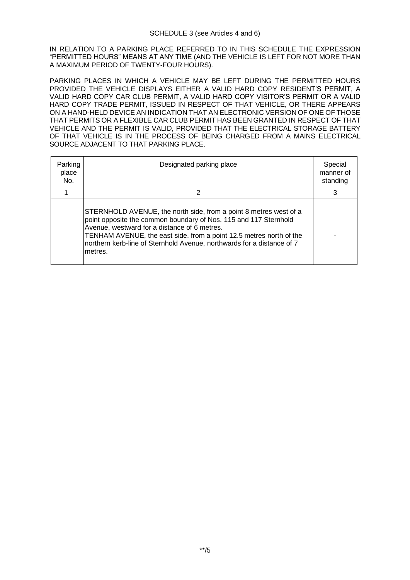IN RELATION TO A PARKING PLACE REFERRED TO IN THIS SCHEDULE THE EXPRESSION "PERMITTED HOURS" MEANS AT ANY TIME (AND THE VEHICLE IS LEFT FOR NOT MORE THAN A MAXIMUM PERIOD OF TWENTY-FOUR HOURS).

PARKING PLACES IN WHICH A VEHICLE MAY BE LEFT DURING THE PERMITTED HOURS PROVIDED THE VEHICLE DISPLAYS EITHER A VALID HARD COPY RESIDENT'S PERMIT, A VALID HARD COPY CAR CLUB PERMIT, A VALID HARD COPY VISITOR'S PERMIT OR A VALID HARD COPY TRADE PERMIT, ISSUED IN RESPECT OF THAT VEHICLE, OR THERE APPEARS ON A HAND-HELD DEVICE AN INDICATION THAT AN ELECTRONIC VERSION OF ONE OF THOSE THAT PERMITS OR A FLEXIBLE CAR CLUB PERMIT HAS BEEN GRANTED IN RESPECT OF THAT VEHICLE AND THE PERMIT IS VALID, PROVIDED THAT THE ELECTRICAL STORAGE BATTERY OF THAT VEHICLE IS IN THE PROCESS OF BEING CHARGED FROM A MAINS ELECTRICAL SOURCE ADJACENT TO THAT PARKING PLACE.

| Parking<br>place<br>No. | Designated parking place                                                                                                                                                                                                                                                                                                                           | Special<br>manner of<br>standing |
|-------------------------|----------------------------------------------------------------------------------------------------------------------------------------------------------------------------------------------------------------------------------------------------------------------------------------------------------------------------------------------------|----------------------------------|
|                         | 2                                                                                                                                                                                                                                                                                                                                                  | 3                                |
|                         | STERNHOLD AVENUE, the north side, from a point 8 metres west of a<br>point opposite the common boundary of Nos. 115 and 117 Sternhold<br>Avenue, westward for a distance of 6 metres.<br>TENHAM AVENUE, the east side, from a point 12.5 metres north of the<br>northern kerb-line of Sternhold Avenue, northwards for a distance of 7<br>lmetres. |                                  |